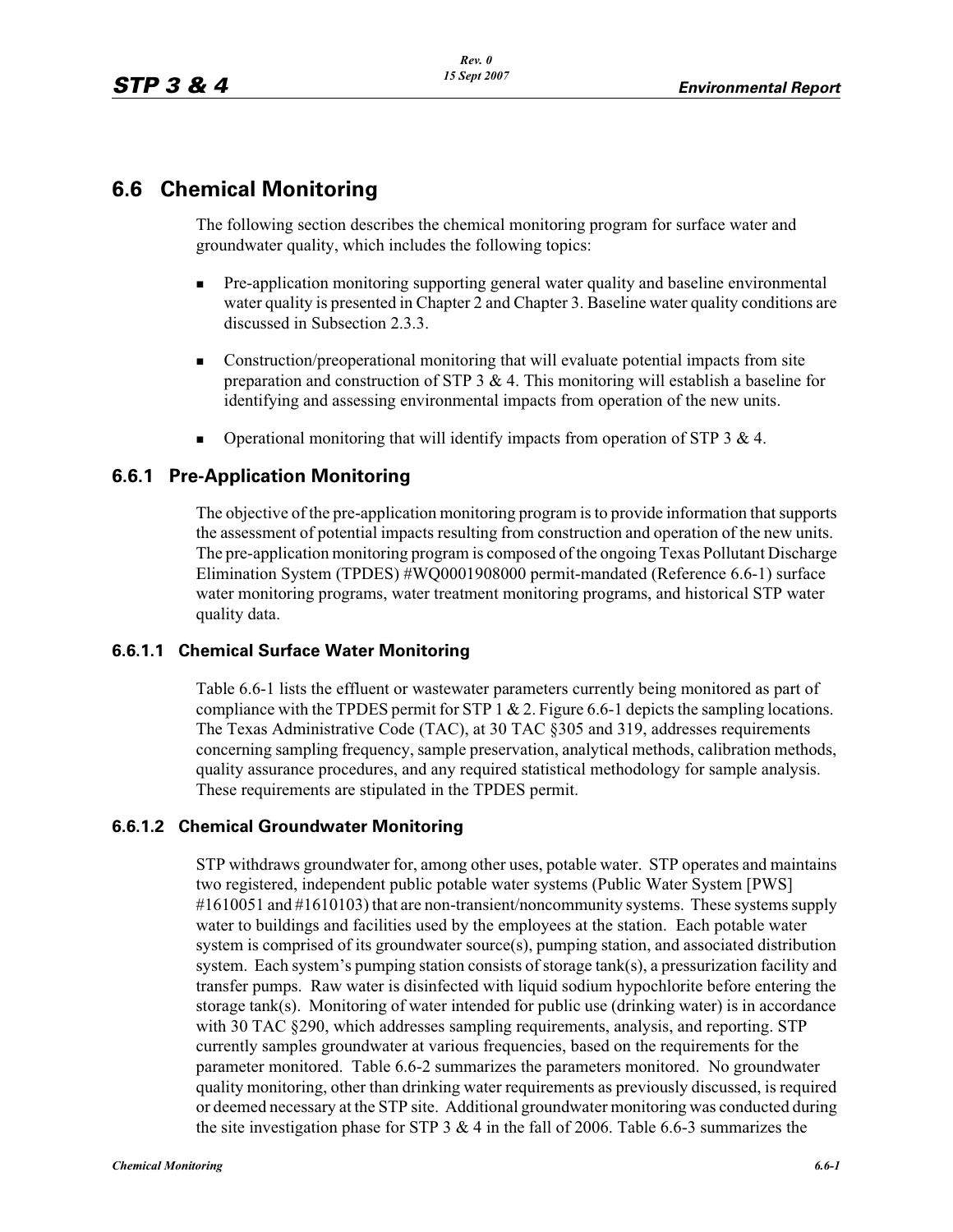# **6.6 Chemical Monitoring**

The following section describes the chemical monitoring program for surface water and groundwater quality, which includes the following topics:

- - Pre-application monitoring supporting general water quality and baseline environmental water quality is presented in Chapter 2 and Chapter 3. Baseline water quality conditions are discussed in Subsection 2.3.3.
- - Construction/preoperational monitoring that will evaluate potential impacts from site preparation and construction of STP  $3 \& 4$ . This monitoring will establish a baseline for identifying and assessing environmental impacts from operation of the new units.
- -Operational monitoring that will identify impacts from operation of STP 3 & 4.

## **6.6.1 Pre-Application Monitoring**

The objective of the pre-application monitoring program is to provide information that supports the assessment of potential impacts resulting from construction and operation of the new units. The pre-application monitoring program is composed of the ongoing Texas Pollutant Discharge Elimination System (TPDES) #WQ0001908000 permit-mandated (Reference 6.6-1) surface water monitoring programs, water treatment monitoring programs, and historical STP water quality data.

#### **6.6.1.1 Chemical Surface Water Monitoring**

Table 6.6-1 lists the effluent or wastewater parameters currently being monitored as part of compliance with the TPDES permit for STP 1  $\&$  2. Figure 6.6-1 depicts the sampling locations. The Texas Administrative Code (TAC), at 30 TAC §305 and 319, addresses requirements concerning sampling frequency, sample preservation, analytical methods, calibration methods, quality assurance procedures, and any required statistical methodology for sample analysis. These requirements are stipulated in the TPDES permit.

#### **6.6.1.2 Chemical Groundwater Monitoring**

STP withdraws groundwater for, among other uses, potable water. STP operates and maintains two registered, independent public potable water systems (Public Water System [PWS] #1610051 and #1610103) that are non-transient/noncommunity systems. These systems supply water to buildings and facilities used by the employees at the station. Each potable water system is comprised of its groundwater source(s), pumping station, and associated distribution system. Each system's pumping station consists of storage tank(s), a pressurization facility and transfer pumps. Raw water is disinfected with liquid sodium hypochlorite before entering the storage tank(s). Monitoring of water intended for public use (drinking water) is in accordance with 30 TAC §290, which addresses sampling requirements, analysis, and reporting. STP currently samples groundwater at various frequencies, based on the requirements for the parameter monitored. Table 6.6-2 summarizes the parameters monitored. No groundwater quality monitoring, other than drinking water requirements as previously discussed, is required or deemed necessary at the STP site. Additional groundwater monitoring was conducted during the site investigation phase for STP 3  $\&$  4 in the fall of 2006. Table 6.6-3 summarizes the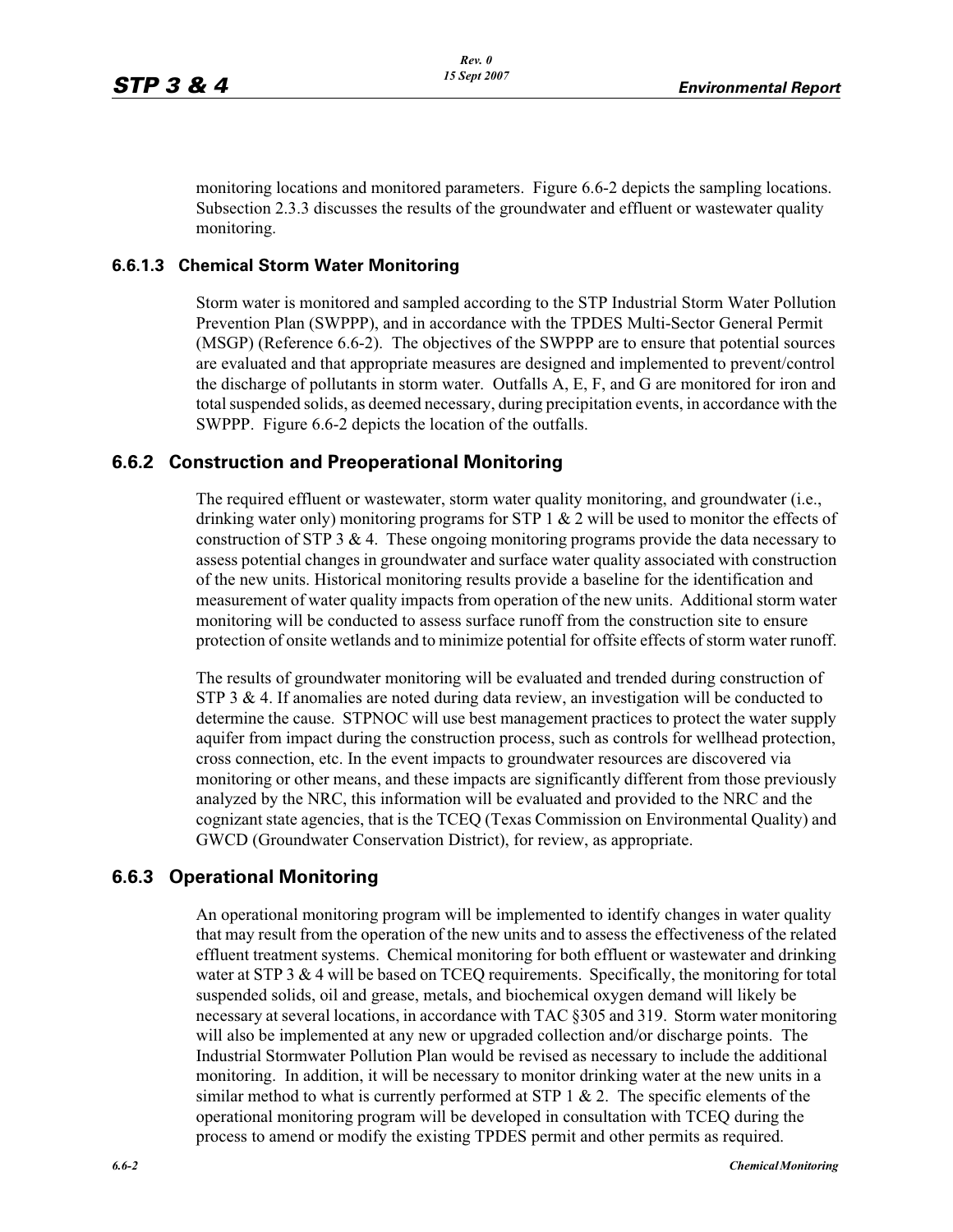monitoring locations and monitored parameters. Figure 6.6-2 depicts the sampling locations. Subsection 2.3.3 discusses the results of the groundwater and effluent or wastewater quality monitoring.

#### **6.6.1.3 Chemical Storm Water Monitoring**

Storm water is monitored and sampled according to the STP Industrial Storm Water Pollution Prevention Plan (SWPPP), and in accordance with the TPDES Multi-Sector General Permit (MSGP) (Reference 6.6-2). The objectives of the SWPPP are to ensure that potential sources are evaluated and that appropriate measures are designed and implemented to prevent/control the discharge of pollutants in storm water. Outfalls A, E, F, and G are monitored for iron and total suspended solids, as deemed necessary, during precipitation events, in accordance with the SWPPP. Figure 6.6-2 depicts the location of the outfalls.

### **6.6.2 Construction and Preoperational Monitoring**

The required effluent or wastewater, storm water quality monitoring, and groundwater (i.e., drinking water only) monitoring programs for STP 1  $\&$  2 will be used to monitor the effects of construction of STP 3  $& 4$ . These ongoing monitoring programs provide the data necessary to assess potential changes in groundwater and surface water quality associated with construction of the new units. Historical monitoring results provide a baseline for the identification and measurement of water quality impacts from operation of the new units. Additional storm water monitoring will be conducted to assess surface runoff from the construction site to ensure protection of onsite wetlands and to minimize potential for offsite effects of storm water runoff.

The results of groundwater monitoring will be evaluated and trended during construction of STP 3  $\&$  4. If anomalies are noted during data review, an investigation will be conducted to determine the cause. STPNOC will use best management practices to protect the water supply aquifer from impact during the construction process, such as controls for wellhead protection, cross connection, etc. In the event impacts to groundwater resources are discovered via monitoring or other means, and these impacts are significantly different from those previously analyzed by the NRC, this information will be evaluated and provided to the NRC and the cognizant state agencies, that is the TCEQ (Texas Commission on Environmental Quality) and GWCD (Groundwater Conservation District), for review, as appropriate.

### **6.6.3 Operational Monitoring**

An operational monitoring program will be implemented to identify changes in water quality that may result from the operation of the new units and to assess the effectiveness of the related effluent treatment systems. Chemical monitoring for both effluent or wastewater and drinking water at STP 3  $& 4$  will be based on TCEQ requirements. Specifically, the monitoring for total suspended solids, oil and grease, metals, and biochemical oxygen demand will likely be necessary at several locations, in accordance with TAC §305 and 319. Storm water monitoring will also be implemented at any new or upgraded collection and/or discharge points. The Industrial Stormwater Pollution Plan would be revised as necessary to include the additional monitoring. In addition, it will be necessary to monitor drinking water at the new units in a similar method to what is currently performed at STP  $1 \& 2$ . The specific elements of the operational monitoring program will be developed in consultation with TCEQ during the process to amend or modify the existing TPDES permit and other permits as required.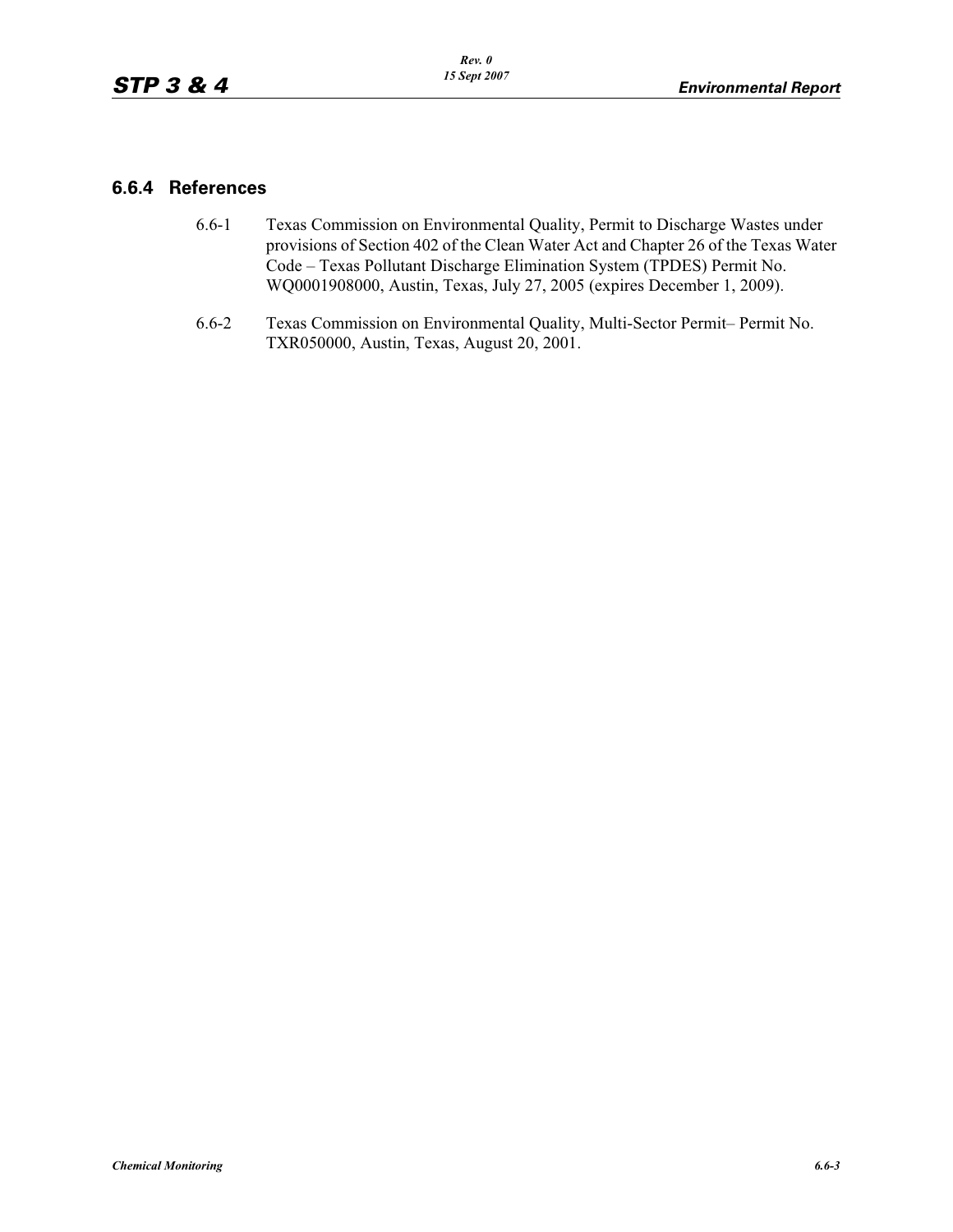## **6.6.4 References**

- 6.6-1 Texas Commission on Environmental Quality, Permit to Discharge Wastes under provisions of Section 402 of the Clean Water Act and Chapter 26 of the Texas Water Code – Texas Pollutant Discharge Elimination System (TPDES) Permit No. WQ0001908000, Austin, Texas, July 27, 2005 (expires December 1, 2009).
- 6.6-2 Texas Commission on Environmental Quality, Multi-Sector Permit– Permit No. TXR050000, Austin, Texas, August 20, 2001.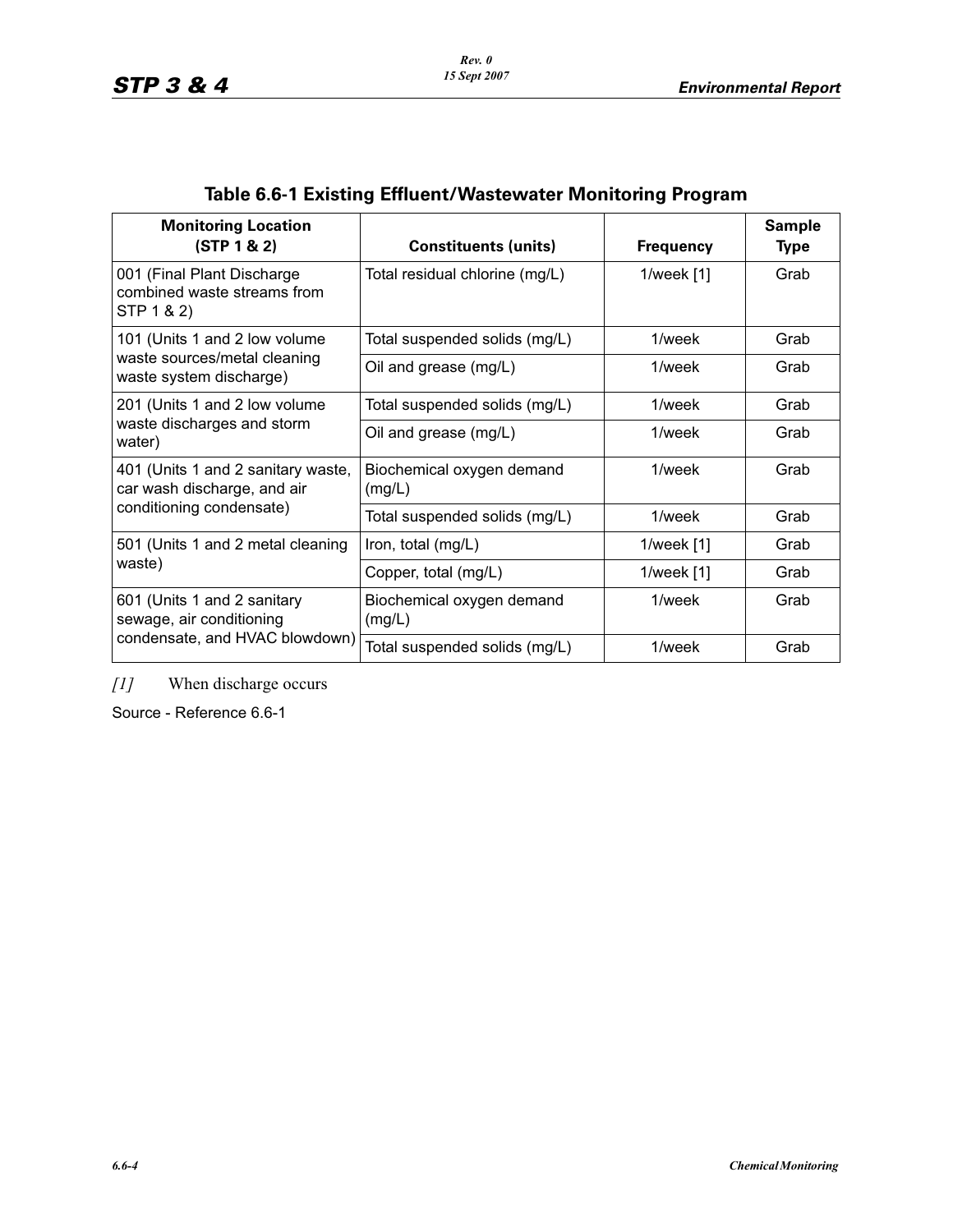| <b>Monitoring Location</b><br>(STP 1 & 2)                               | <b>Constituents (units)</b>         | <b>Frequency</b> | <b>Sample</b><br><b>Type</b> |  |
|-------------------------------------------------------------------------|-------------------------------------|------------------|------------------------------|--|
| 001 (Final Plant Discharge<br>combined waste streams from<br>STP 1 & 2) | Total residual chlorine (mg/L)      | 1/week $[1]$     | Grab                         |  |
| 101 (Units 1 and 2 low volume                                           | Total suspended solids (mg/L)       | 1/week           | Grab                         |  |
| waste sources/metal cleaning<br>waste system discharge)                 | Oil and grease (mg/L)               | 1/week           |                              |  |
| 201 (Units 1 and 2 low volume                                           | Total suspended solids (mg/L)       | 1/week           | Grab                         |  |
| waste discharges and storm<br>water)                                    | Oil and grease (mg/L)               | 1/week           | Grab                         |  |
| 401 (Units 1 and 2 sanitary waste,<br>car wash discharge, and air       | Biochemical oxygen demand<br>(mg/L) | 1/week           | Grab                         |  |
| conditioning condensate)                                                | Total suspended solids (mg/L)       | $1$ /week        | Grab                         |  |
| 501 (Units 1 and 2 metal cleaning                                       | Iron, total (mg/L)                  | 1/week $[1]$     | Grab                         |  |
| waste)                                                                  | Copper, total (mg/L)                | 1/week $[1]$     | Grab                         |  |
| 601 (Units 1 and 2 sanitary<br>sewage, air conditioning                 | Biochemical oxygen demand<br>(mg/L) | 1/week           | Grab                         |  |
| condensate, and HVAC blowdown)                                          | Total suspended solids (mg/L)       | 1/week           | Grab                         |  |

# **Table 6.6-1 Existing Effluent/Wastewater Monitoring Program**

*[1]* When discharge occurs

Source - Reference 6.6-1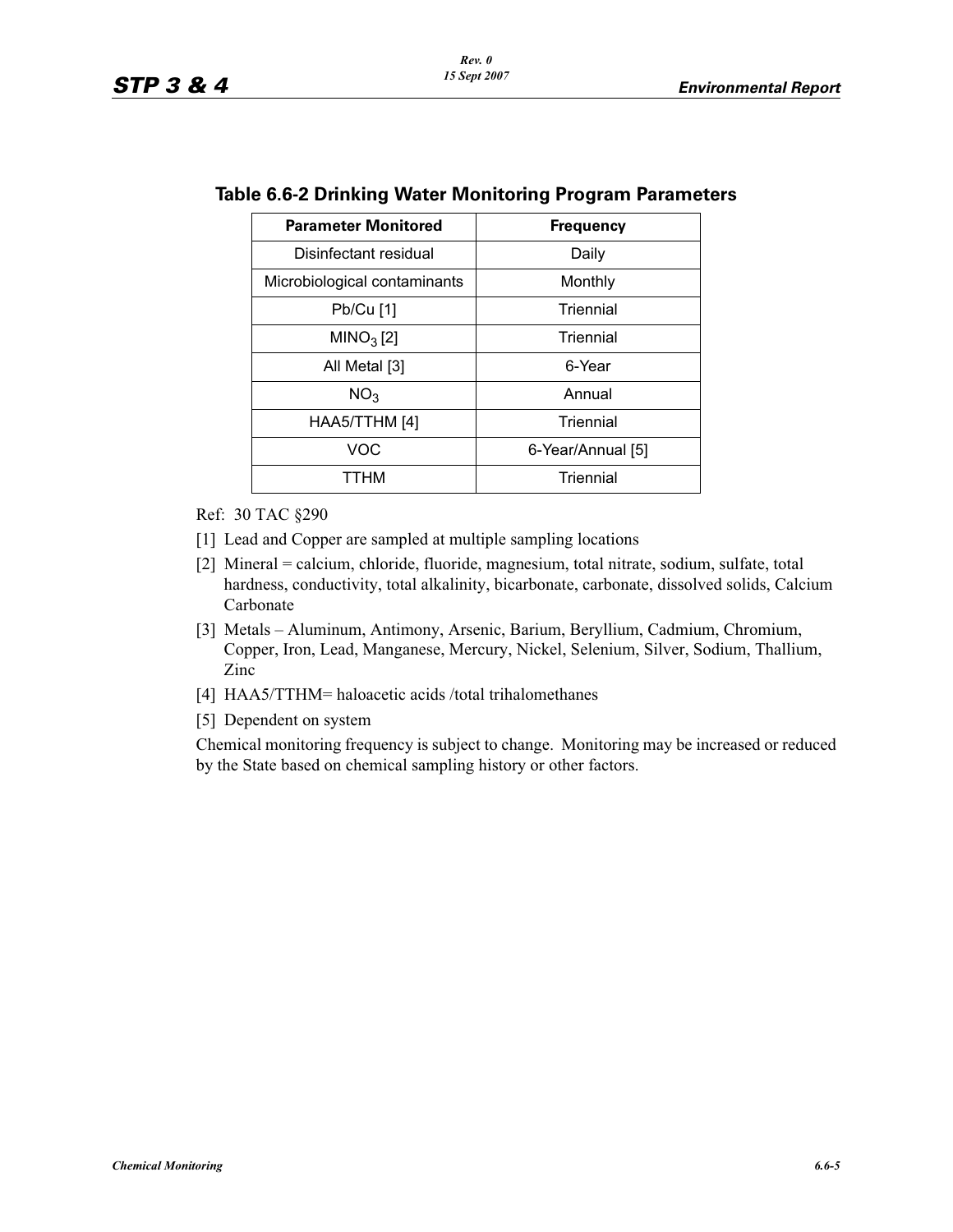| <b>Parameter Monitored</b>   | <b>Frequency</b>  |  |  |
|------------------------------|-------------------|--|--|
| Disinfectant residual        | Daily             |  |  |
| Microbiological contaminants | Monthly           |  |  |
| Pb/Cu [1]                    | Triennial         |  |  |
| MINO <sub>3</sub> [2]        | Triennial         |  |  |
| All Metal [3]                | 6-Year            |  |  |
| NO <sub>3</sub>              | Annual            |  |  |
| HAA5/TTHM [4]                | Triennial         |  |  |
| <b>VOC</b>                   | 6-Year/Annual [5] |  |  |
| ттнм                         | Triennial         |  |  |

### **Table 6.6-2 Drinking Water Monitoring Program Parameters**

Ref: 30 TAC §290

- [1] Lead and Copper are sampled at multiple sampling locations
- [2] Mineral = calcium, chloride, fluoride, magnesium, total nitrate, sodium, sulfate, total hardness, conductivity, total alkalinity, bicarbonate, carbonate, dissolved solids, Calcium Carbonate
- [3] Metals Aluminum, Antimony, Arsenic, Barium, Beryllium, Cadmium, Chromium, Copper, Iron, Lead, Manganese, Mercury, Nickel, Selenium, Silver, Sodium, Thallium, Zinc
- [4] HAA5/TTHM= haloacetic acids /total trihalomethanes
- [5] Dependent on system

Chemical monitoring frequency is subject to change. Monitoring may be increased or reduced by the State based on chemical sampling history or other factors.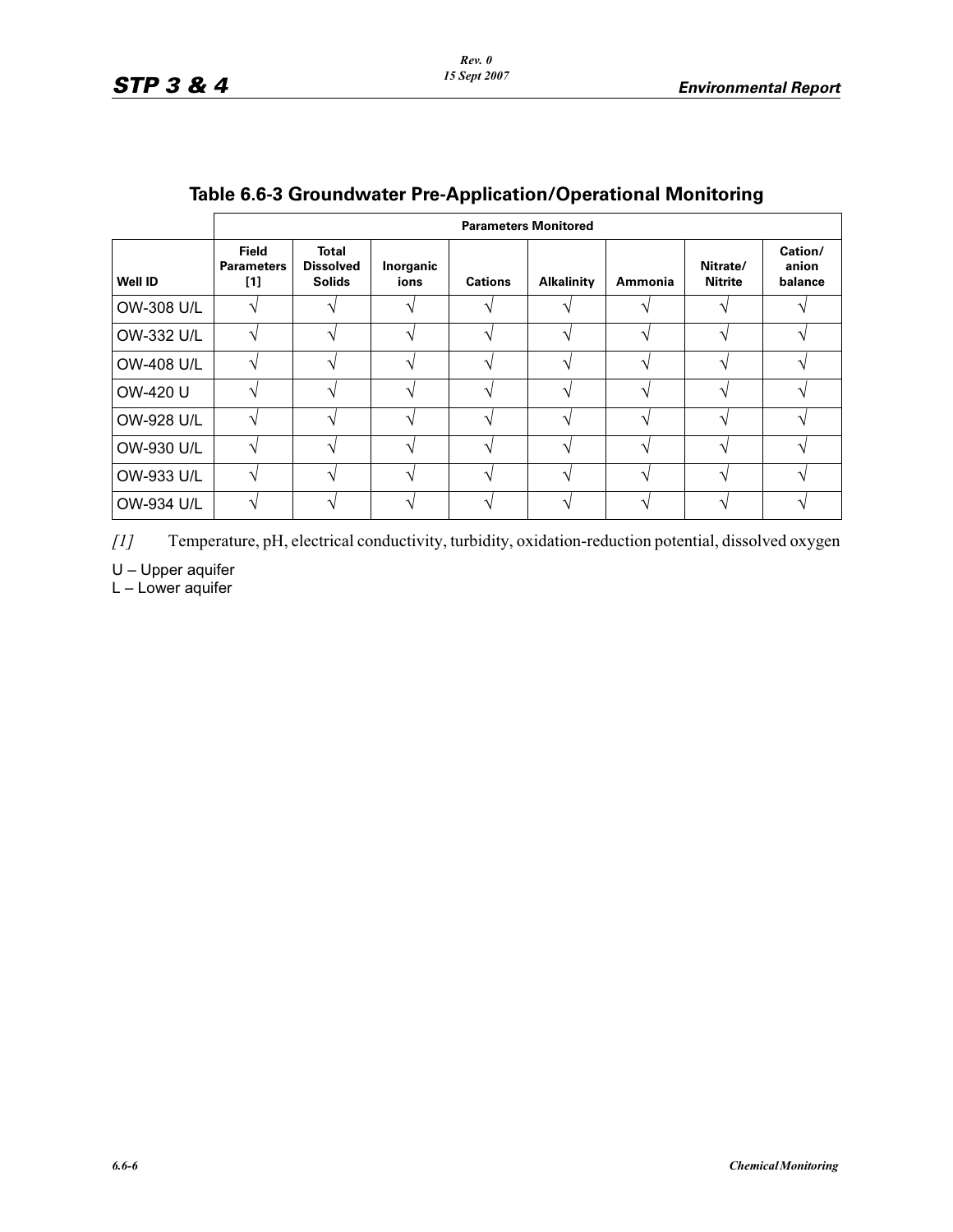|                | <b>Parameters Monitored</b>                |                                                   |                   |                   |                   |         |                            |                             |  |
|----------------|--------------------------------------------|---------------------------------------------------|-------------------|-------------------|-------------------|---------|----------------------------|-----------------------------|--|
| <b>Well ID</b> | <b>Field</b><br><b>Parameters</b><br>$[1]$ | <b>Total</b><br><b>Dissolved</b><br><b>Solids</b> | Inorganic<br>ions | <b>Cations</b>    | <b>Alkalinity</b> | Ammonia | Nitrate/<br><b>Nitrite</b> | Cation/<br>anion<br>balance |  |
| OW-308 U/L     | ا^                                         |                                                   | ٦                 | ٦                 |                   |         |                            |                             |  |
| OW-332 U/L     | ٦                                          |                                                   | 1                 | $\mathbf \Lambda$ | $\mathbf{\hat{}}$ | 1       | 1                          |                             |  |
| OW-408 U/L     | ا^                                         | ٦                                                 | ٦                 | ٦                 | $\mathbf \Lambda$ | ۰       |                            |                             |  |
| OW-420 U       | ٦                                          |                                                   |                   |                   | ᄾ                 |         |                            |                             |  |
| OW-928 U/L     | ٦                                          | ٦                                                 | ٦                 | ٦                 | ᄾ                 |         |                            |                             |  |
| OW-930 U/L     | 1                                          |                                                   |                   |                   |                   |         |                            |                             |  |
| OW-933 U/L     | ٦                                          | ٦                                                 | ٦                 | ٦                 | $\mathbf \Lambda$ | 1       | ۰                          |                             |  |
| OW-934 U/L     |                                            |                                                   |                   |                   |                   |         |                            |                             |  |

# **Table 6.6-3 Groundwater Pre-Application/Operational Monitoring**

*[1]* Temperature, pH, electrical conductivity, turbidity, oxidation-reduction potential, dissolved oxygen

U – Upper aquifer

L – Lower aquifer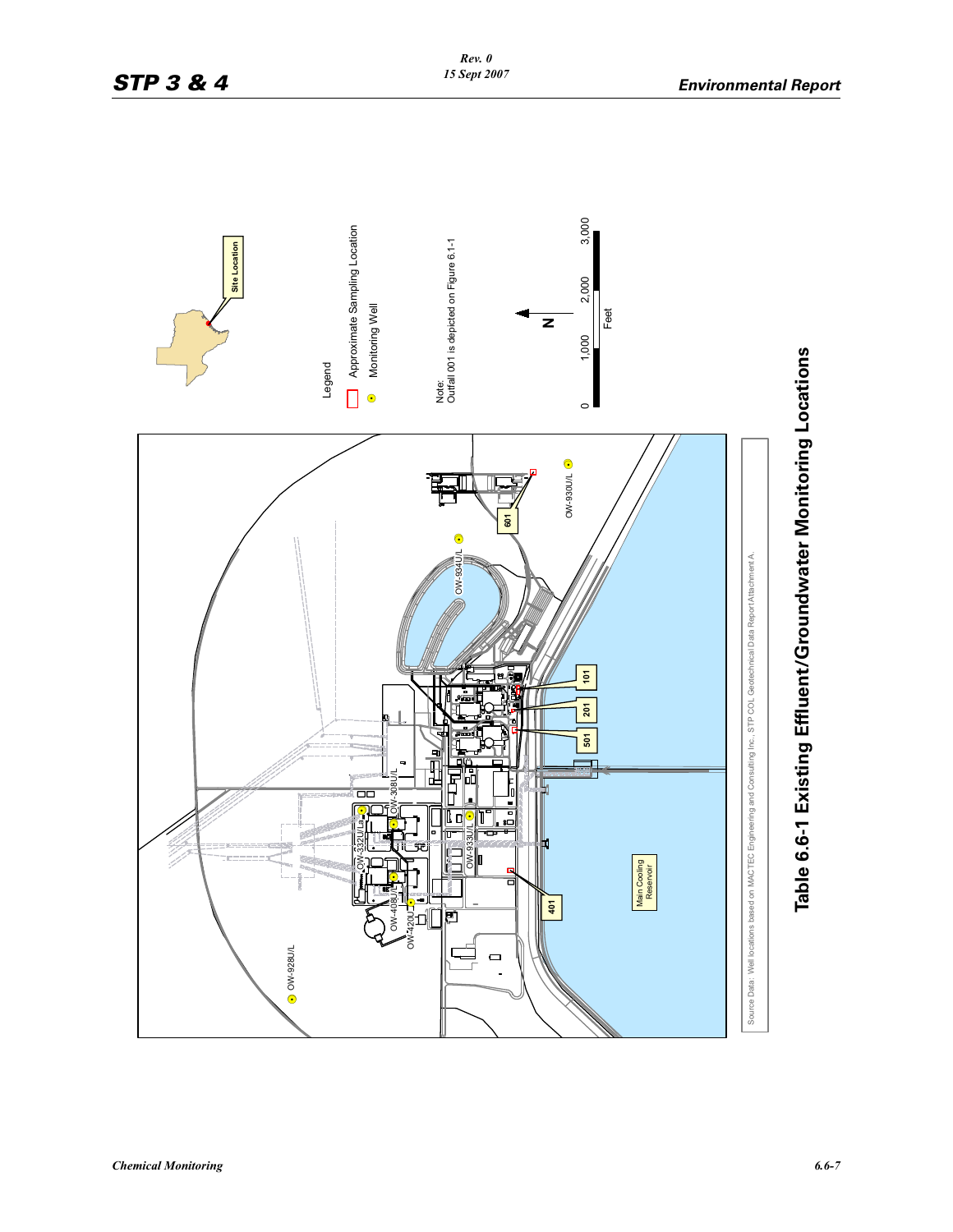